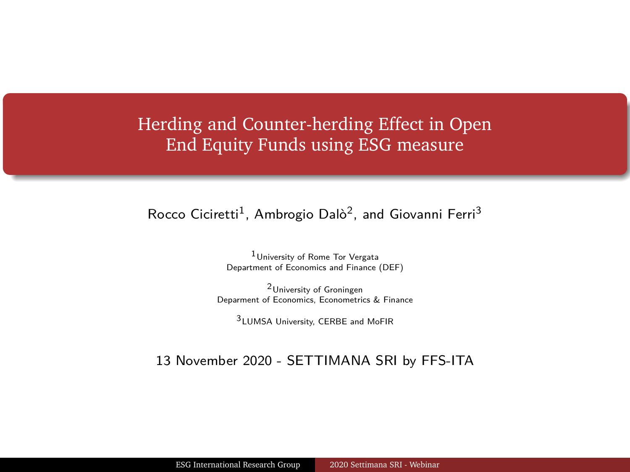## <span id="page-0-0"></span>Herding and Counter-herding Effect in Open End Equity Funds using ESG measure

#### Rocco Ciciretti<sup>1</sup>, Ambrogio Dalò<sup>2</sup>, and Giovanni Ferri<sup>3</sup>

1University of Rome Tor Vergata Department of Economics and Finance (DEF)

2University of Groningen Deparment of Economics, Econometrics & Finance

3LUMSA University, CERBE and MoEIR

#### 13 November 2020 - SETTIMANA SRI by FFS-ITA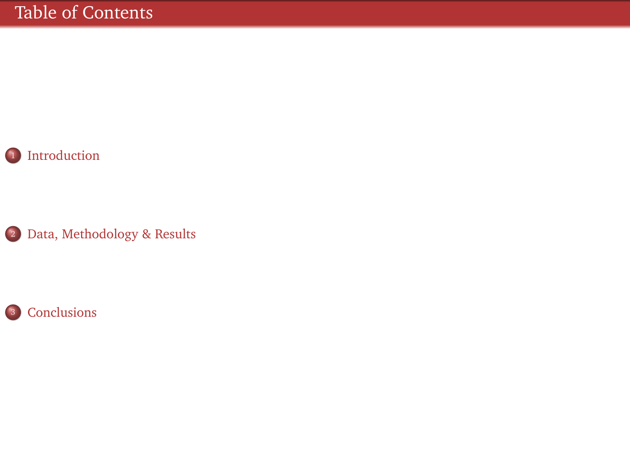



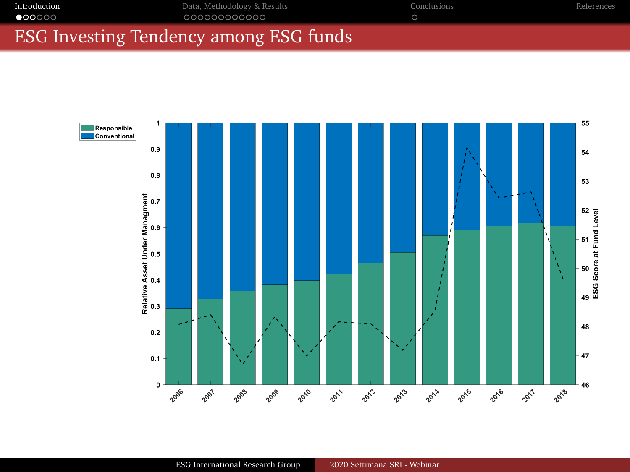<span id="page-2-0"></span>[Introduction](#page-2-0) [Data, Methodology & Results](#page-8-0) [Conclusions](#page-20-0) [References](#page-21-0)

## ESG Investing Tendency among ESG funds

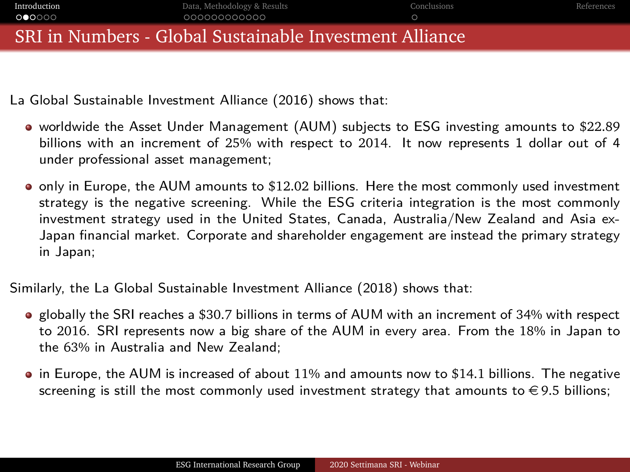| Introduction | Data, Methodology & Results                             | Conclusions | References |
|--------------|---------------------------------------------------------|-------------|------------|
| 000000       | 000000000000                                            |             |            |
|              | SRI in Numbers - Global Sustainable Investment Alliance |             |            |

La Global Sustainable Investment Alliance (2016) shows that:

- worldwide the Asset Under Management (AUM) subjects to ESG investing amounts to \$22.89 billions with an increment of 25% with respect to 2014. It now represents 1 dollar out of 4 under professional asset management;
- only in Europe, the AUM amounts to \$12.02 billions. Here the most commonly used investment strategy is the negative screening. While the ESG criteria integration is the most commonly investment strategy used in the United States, Canada, Australia/New Zealand and Asia ex-Japan financial market. Corporate and shareholder engagement are instead the primary strategy in Japan;

Similarly, the La Global Sustainable Investment Alliance (2018) shows that:

- **•** globally the SRI reaches a \$30.7 billions in terms of AUM with an increment of 34% with respect to 2016. SRI represents now a big share of the AUM in every area. From the 18% in Japan to the 63% in Australia and New Zealand;
- in Europe, the AUM is increased of about 11% and amounts now to \$14.1 billions. The negative screening is still the most commonly used investment strategy that amounts to  $\in$  9.5 billions;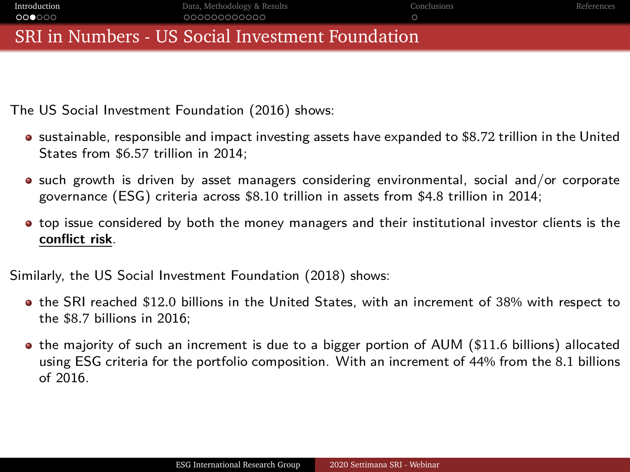| Introduction | Data, Methodology & Results                      | Conclusions | References |
|--------------|--------------------------------------------------|-------------|------------|
| 000000       | 000000000000                                     |             |            |
|              | SRI in Numbers - US Social Investment Foundation |             |            |

The US Social Investment Foundation (2016) shows:

- sustainable, responsible and impact investing assets have expanded to \$8.72 trillion in the United States from \$6.57 trillion in 2014;
- $\bullet$  such growth is driven by asset managers considering environmental, social and/or corporate governance (ESG) criteria across \$8.10 trillion in assets from \$4.8 trillion in 2014;
- top issue considered by both the money managers and their institutional investor clients is the **conflict risk**.

Similarly, the US Social Investment Foundation (2018) shows:

- the SRI reached \$12.0 billions in the United States, with an increment of 38% with respect to the \$8.7 billions in 2016;
- the majority of such an increment is due to a bigger portion of AUM (\$11.6 billions) allocated using ESG criteria for the portfolio composition. With an increment of 44% from the 8.1 billions of 2016.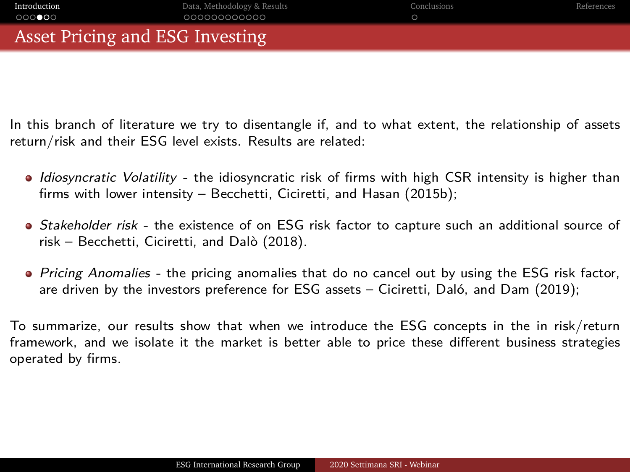| Introduction | Data, Methodology & Results     | Conclusions | References <sup>1</sup> |
|--------------|---------------------------------|-------------|-------------------------|
| $000$ $00$   | 000000000000                    |             |                         |
|              | Asset Pricing and ESG Investing |             |                         |

In this branch of literature we try to disentangle if, and to what extent, the relationship of assets return/risk and their ESG level exists. Results are related:

- Idiosyncratic Volatility the idiosyncratic risk of firms with high CSR intensity is higher than firms with lower intensity – [Becchetti, Ciciretti, and Hasan \(2015b\)](#page-21-1);
- Stakeholder risk the existence of on ESG risk factor to capture such an additional source of risk – [Becchetti, Ciciretti, and Dalò \(2018\)](#page-21-2).
- Pricing Anomalies the pricing anomalies that do no cancel out by using the ESG risk factor, are driven by the investors preference for ESG assets – [Ciciretti, Daló, and Dam \(2019\)](#page-21-3);

To summarize, our results show that when we introduce the ESG concepts in the in risk/return framework, and we isolate it the market is better able to price these different business strategies operated by firms.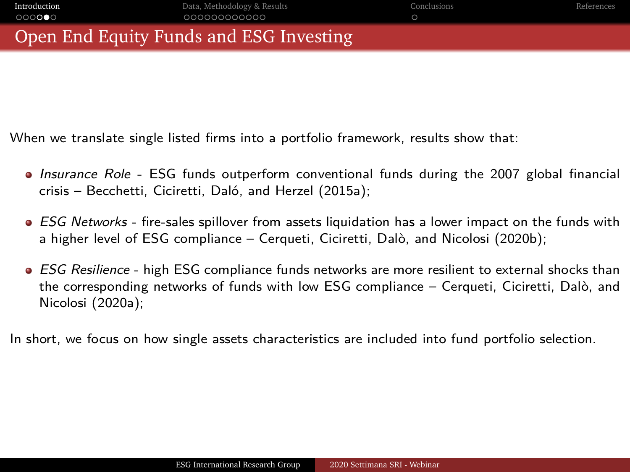| Introduction | Data, Methodology & Results             | Conclusions | References |
|--------------|-----------------------------------------|-------------|------------|
| 000000       | 000000000000                            |             |            |
|              | Open End Equity Funds and ESG Investing |             |            |

When we translate single listed firms into a portfolio framework, results show that:

- Insurance Role ESG funds outperform conventional funds during the 2007 global financial crisis – [Becchetti, Ciciretti, Daló, and Herzel \(2015a\)](#page-21-4);
- ESG Networks fire-sales spillover from assets liquidation has a lower impact on the funds with a higher level of ESG compliance – [Cerqueti, Ciciretti, Dalò, and Nicolosi \(2020b\)](#page-21-5);
- **ESG Resilience high ESG compliance funds networks are more resilient to external shocks than** the corresponding networks of funds with low ESG compliance – [Cerqueti, Ciciretti, Dalò, and](#page-21-6) [Nicolosi \(2020a\)](#page-21-6);

In short, we focus on how single assets characteristics are included into fund portfolio selection.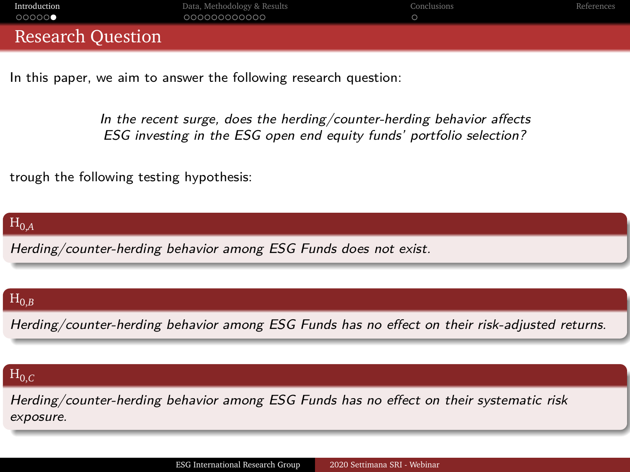| Introduction             | Data, Methodology & Results | Conclusions | References |
|--------------------------|-----------------------------|-------------|------------|
| 000000                   | 000000000000                |             |            |
| <b>Research Question</b> |                             |             |            |

In this paper, we aim to answer the following research question:

In the recent surge, does the herding/counter-herding behavior affects ESG investing in the ESG open end equity funds' portfolio selection?

trough the following testing hypothesis:

 $H_{0,A}$ 

Herding/counter-herding behavior among ESG Funds does not exist.

#### $H_{0,B}$

Herding/counter-herding behavior among ESG Funds has no effect on their risk-adjusted returns.

### H0,*<sup>C</sup>*

Herding/counter-herding behavior among ESG Funds has no effect on their systematic risk exposure.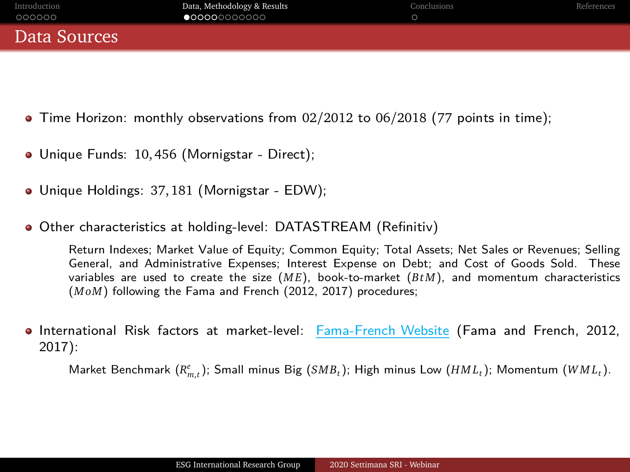<span id="page-8-0"></span>

| Introduction | Data, Methodology & Results | Conclusions | References |
|--------------|-----------------------------|-------------|------------|
| 000000       | 000000000000                |             |            |
| Data Sources |                             |             |            |

- Time Horizon: monthly observations from 02*/*2012 to 06*/*2018 (77 points in time);
- Unique Funds: 10, 456 (Mornigstar Direct);
- Unique Holdings: 37, 181 (Mornigstar EDW);
- Other characteristics at holding-level: DATASTREAM (Refinitiv)

Return Indexes; Market Value of Equity; Common Equity; Total Assets; Net Sales or Revenues; Selling General, and Administrative Expenses; Interest Expense on Debt; and Cost of Goods Sold. These variables are used to create the size (*M E*), book-to-market (*B tM*), and momentum characteristics (*M oM*) following the [Fama and French \(2012,](#page-21-7) [2017\)](#page-21-8) procedures;

International Risk factors at market-level: [Fama-French Website](http://mba.tuck.dartmouth.edu/pages/faculty/ken.french/data_library.html) [\(Fama and French, 2012,](#page-21-7) [2017\)](#page-21-8):

 $\mathsf{Market}$  Benchmark  $(R_{m,t}^e);$  Small minus Big  $(\mathit{SMB}_t);$  High minus Low  $(\mathit{HML}_t);$  Momentum  $(\mathit{WML}_t).$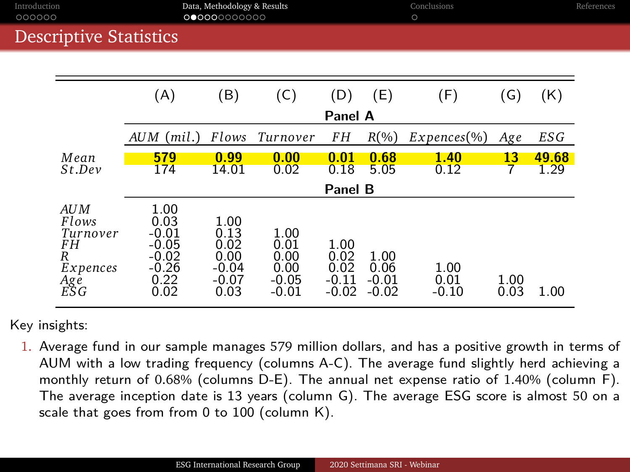|                                                                              | <b>Descriptive Statistics</b>                                            |                                                            |                                                    |                                            |                                    |                         |              |               |
|------------------------------------------------------------------------------|--------------------------------------------------------------------------|------------------------------------------------------------|----------------------------------------------------|--------------------------------------------|------------------------------------|-------------------------|--------------|---------------|
|                                                                              | (A)                                                                      | (B)                                                        | (C)                                                | (D)                                        | (E)                                | (F)                     | (G)          | (K)           |
|                                                                              |                                                                          |                                                            |                                                    | Panel A                                    |                                    |                         |              |               |
|                                                                              | $AUM$ (mil.)                                                             | Flows                                                      | Turnover                                           | FH                                         | $R(\%)$                            | $Expences(\%)$          | Age          | ESG           |
| Mean<br>St.Dev                                                               | 579<br>174                                                               | 0.99<br>14.01                                              | 0.00<br>0.02                                       | 0.01<br>0.18                               | 0.68<br>5.05                       | 1.40<br>0.12            | 13<br>7      | 49.68<br>1.29 |
|                                                                              |                                                                          |                                                            |                                                    | Panel B                                    |                                    |                         |              |               |
| AUM<br>Flows<br>Turnover<br>FH<br>$\boldsymbol{R}$<br>Expences<br>Age<br>ESG | 1.00<br>0.03<br>$-0.01$<br>$-0.05$<br>$-0.02$<br>$-0.26$<br>0.22<br>0.02 | 1.00<br>0.13<br>0.02<br>0.00<br>$-0.04$<br>$-0.07$<br>0.03 | 1.00<br>0.01<br>0.00<br>0.00<br>$-0.05$<br>$-0.01$ | 1.00<br>0.02<br>0.02<br>$-0.11$<br>$-0.02$ | 1.00<br>0.06<br>$-0.01$<br>$-0.02$ | 1.00<br>0.01<br>$-0.10$ | 1.00<br>0.03 | 1.00          |

1. Average fund in our sample manages 579 million dollars, and has a positive growth in terms of AUM with a low trading frequency (columns A-C). The average fund slightly herd achieving a monthly return of 0.68% (columns D-E). The annual net expense ratio of 1.40% (column F). The average inception date is 13 years (column G). The average ESG score is almost 50 on a scale that goes from from 0 to 100 (column K).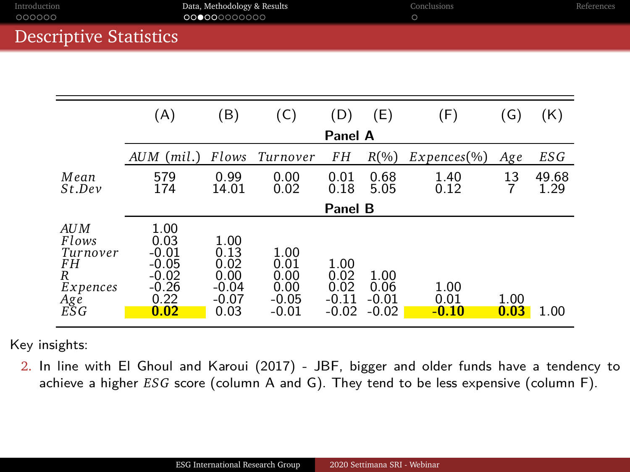| Introduction                  | Data, Methodology & Results | Conclusions | References |
|-------------------------------|-----------------------------|-------------|------------|
| 000000                        | 00000000000                 |             |            |
| <b>Descriptive Statistics</b> |                             |             |            |

|                                                                | (A)                                                                      | (B)                                                        | (C)                                                | (D)                                        | (E)                                | (F)                     | (G)          | (K)           |
|----------------------------------------------------------------|--------------------------------------------------------------------------|------------------------------------------------------------|----------------------------------------------------|--------------------------------------------|------------------------------------|-------------------------|--------------|---------------|
|                                                                |                                                                          |                                                            |                                                    | Panel A                                    |                                    |                         |              |               |
|                                                                | $AUM$ (mil.)                                                             | Flows                                                      | Turnover                                           | FH                                         | $R(\%)$                            | $Expences(\%)$          | Age          | ES G          |
| Mean<br>St.Dev                                                 | 579<br>174                                                               | 0.99<br>14.01                                              | 0.00<br>0.02                                       | 0.01<br>0.18                               | 0.68<br>5.05                       | 1.40<br>0.12            | 13           | 49.68<br>1.29 |
|                                                                |                                                                          |                                                            |                                                    | Panel B                                    |                                    |                         |              |               |
| AU M<br>Flows<br>Turnover<br>FH<br>R<br>Expences<br>Age<br>ESG | 1.00<br>0.03<br>$-0.01$<br>$-0.05$<br>$-0.02$<br>$-0.26$<br>0.22<br>0.02 | 1.00<br>0.13<br>0.02<br>0.00<br>$-0.04$<br>$-0.07$<br>0.03 | 1.00<br>0.01<br>0.00<br>0.00<br>$-0.05$<br>$-0.01$ | 1.00<br>0.02<br>0.02<br>$-0.11$<br>$-0.02$ | 1.00<br>0.06<br>$-0.01$<br>$-0.02$ | 1.00<br>0.01<br>$-0.10$ | 1.00<br>0.03 | 1.00          |

Key insights:

2. In line with [El Ghoul and Karoui \(2017\)](#page-21-9) - JBF, bigger and older funds have a tendency to achieve a higher *ESG* score (column A and G). They tend to be less expensive (column F).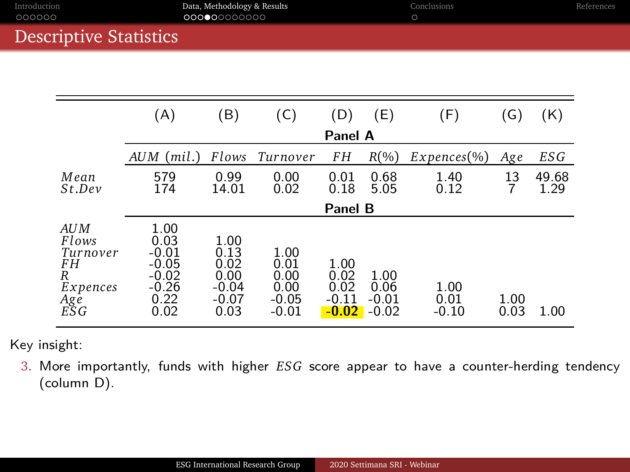| Introduction                  | Data, Methodology & Results | Conclusions | References |
|-------------------------------|-----------------------------|-------------|------------|
| 000000                        | 00000000000                 |             |            |
| <b>Descriptive Statistics</b> |                             |             |            |

|                                                                               | (A)                                                                      | (B)                                                        | (C)                                                | (D)                                        | (E)                                | (F)                     | (G)          | (K)           |
|-------------------------------------------------------------------------------|--------------------------------------------------------------------------|------------------------------------------------------------|----------------------------------------------------|--------------------------------------------|------------------------------------|-------------------------|--------------|---------------|
|                                                                               |                                                                          |                                                            |                                                    | Panel A                                    |                                    |                         |              |               |
|                                                                               | $AUM$ (mil.)                                                             | Flows                                                      | Turnover                                           | FH                                         | $R(\% )$                           | $Expences (\% )$        | Ag e         | ESG           |
| Mean<br>St.Dev                                                                | 579<br>174                                                               | 0.99<br>14.01                                              | 0.00<br>0.02                                       | 0.01<br>0.18                               | 0.68<br>5.05                       | 1.40<br>0.12            | 13           | 49.68<br>1.29 |
|                                                                               |                                                                          |                                                            |                                                    | <b>Panel B</b>                             |                                    |                         |              |               |
| AU M<br>Flows<br>Turnover<br>FH<br>R<br>Expences<br>$\frac{Ag\tilde{e}}{ESG}$ | 1.00<br>0.03<br>$-0.01$<br>$-0.05$<br>$-0.02$<br>$-0.26$<br>0.22<br>0.02 | 1.00<br>0.13<br>0.02<br>0.00<br>$-0.04$<br>$-0.07$<br>0.03 | 1.00<br>0.01<br>0.00<br>0.00<br>$-0.05$<br>$-0.01$ | 1.00<br>0.02<br>0.02<br>$-0.11$<br>$-0.02$ | 1.00<br>0.06<br>$-0.01$<br>$-0.02$ | 1.00<br>0.01<br>$-0.10$ | 1.00<br>0.03 | 1.00          |

Key insight:

3. More importantly, funds with higher *ESG* score appear to have a counter-herding tendency (column D).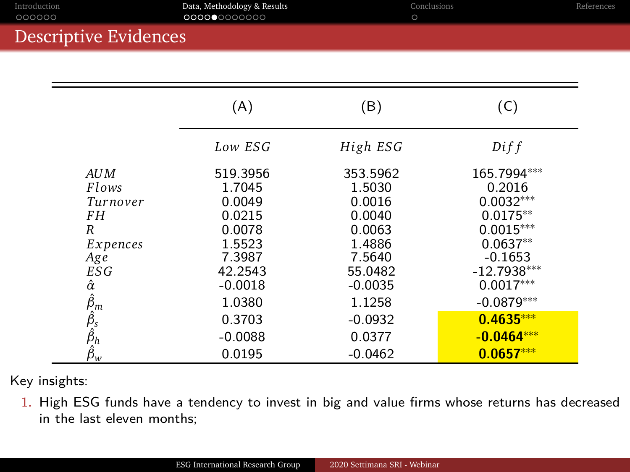| Introduction<br>000000                                                                      | Data, Methodology & Results<br>000000000000 | $\circ$   | Conclusions   | References |
|---------------------------------------------------------------------------------------------|---------------------------------------------|-----------|---------------|------------|
| Descriptive Evidences                                                                       |                                             |           |               |            |
|                                                                                             |                                             |           |               |            |
|                                                                                             | (A)                                         | (B)       | (C)           |            |
|                                                                                             | Low ESG                                     | High ESG  | Difff         |            |
| AUM                                                                                         | 519.3956                                    | 353.5962  | 165.7994***   |            |
| Flows                                                                                       | 1.7045                                      | 1.5030    | 0.2016        |            |
| Turnover                                                                                    | 0.0049                                      | 0.0016    | $0.0032***$   |            |
| FH                                                                                          | 0.0215                                      | 0.0040    | $0.0175**$    |            |
| R                                                                                           | 0.0078                                      | 0.0063    | $0.0015***$   |            |
| Expences                                                                                    | 1.5523                                      | 1.4886    | $0.0637**$    |            |
| Age                                                                                         | 7.3987                                      | 7.5640    | $-0.1653$     |            |
| ESG                                                                                         | 42.2543                                     | 55.0482   | $-12.7938***$ |            |
| $\hat{\alpha}$                                                                              | $-0.0018$                                   | $-0.0035$ | $0.0017***$   |            |
|                                                                                             | 1.0380                                      | 1.1258    | $-0.0879***$  |            |
|                                                                                             | 0.3703                                      | $-0.0932$ | $0.4635***$   |            |
|                                                                                             | $-0.0088$                                   | 0.0377    | $-0.0464***$  |            |
| $\begin{matrix} \hat{\beta}_m \ \hat{\beta}_s \ \hat{\beta}_h \ \hat{\beta}_w \end{matrix}$ | 0.0195                                      | $-0.0462$ | $0.0657***$   |            |

Key insights:

1. High ESG funds have a tendency to invest in big and value firms whose returns has decreased in the last eleven months;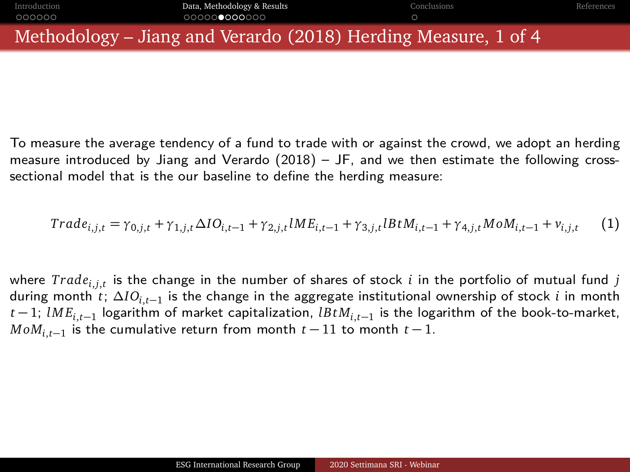

To measure the average tendency of a fund to trade with or against the crowd, we adopt an herding measure introduced by [Jiang and Verardo \(2018\)](#page-21-10) – JF, and we then estimate the following crosssectional model that is the our baseline to define the herding measure:

$$
Trade_{i,j,t} = \gamma_{0,j,t} + \gamma_{1,j,t} \Delta IO_{i,t-1} + \gamma_{2,j,t} lME_{i,t-1} + \gamma_{3,j,t} lBtM_{i,t-1} + \gamma_{4,j,t} MoM_{i,t-1} + \nu_{i,j,t} \tag{1}
$$

where  $Trade_{i,j,t}$  is the change in the number of shares of stock  $i$  in the portfolio of mutual fund  $j$ during month *t*; *∆IOi*,*t*−<sup>1</sup> is the change in the aggregate institutional ownership of stock *i* in month *t* − 1; *lM Ei*,*t*−<sup>1</sup> logarithm of market capitalization, *lB tMi*,*t*−<sup>1</sup> is the logarithm of the book-to-market,  $MoM_{i,t-1}$  is the cumulative return from month  $t-11$  to month  $t-1.$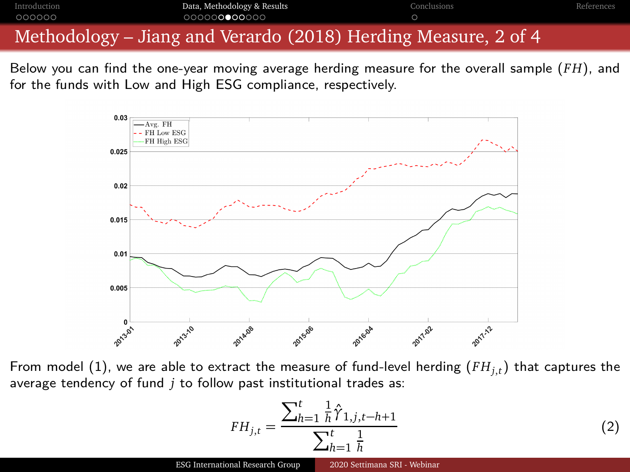

## Methodology – [Jiang and Verardo \(2018\)](#page-21-10) Herding Measure, 2 of 4

Below you can find the one-year moving average herding measure for the overall sample (*F H*), and for the funds with Low and High ESG compliance, respectively.



From model  $(1)$ , we are able to extract the measure of fund-level herding  $(FH_{j,t})$  that captures the average tendency of fund *j* to follow past institutional trades as:

$$
FH_{j,t} = \frac{\sum_{h=1}^{t} \frac{1}{h} \hat{\gamma}_{1,j,t-h+1}}{\sum_{h=1}^{t} \frac{1}{h}}
$$
 (2)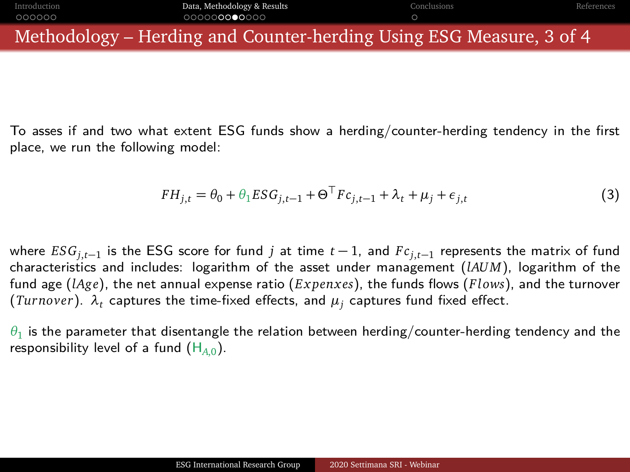

To asses if and two what extent ESG funds show a herding/counter-herding tendency in the first place, we run the following model:

$$
FH_{j,t} = \theta_0 + \theta_1 ESG_{j,t-1} + \Theta^{\top} Fc_{j,t-1} + \lambda_t + \mu_j + \epsilon_{j,t}
$$
\n<sup>(3)</sup>

where *ESGj*,*t*−<sup>1</sup> is the ESG score for fund *j* at time *t* − 1, and *F cj*,*t*−<sup>1</sup> represents the matrix of fund characteristics and includes: logarithm of the asset under management (*lAUM*), logarithm of the fund age (*lAge*), the net annual expense ratio (*E x penx es*), the funds flows (*Flows*), and the turnover (*Turnover*).  $\lambda_t$  captures the time-fixed effects, and  $\mu_i$  captures fund fixed effect.

 $\theta_1$  is the parameter that disentangle the relation between herding/counter-herding tendency and the responsibility level of a fund  $(H_{A,0})$ .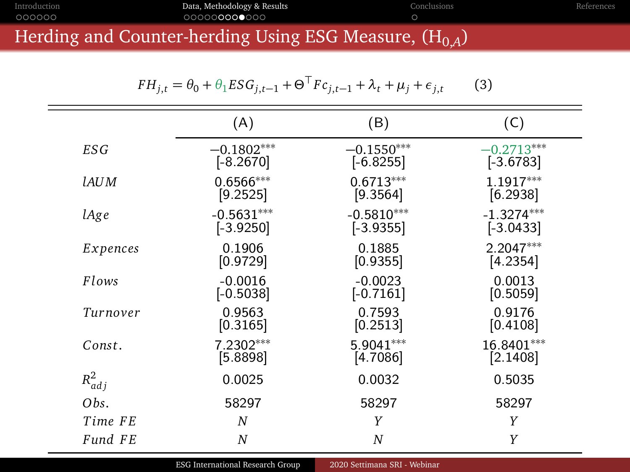[Introduction](#page-2-0) [Data, Methodology & Results](#page-8-0) [Conclusions](#page-20-0) [References](#page-21-0)

# Herding and Counter-herding Using ESG Measure,  $(\mathrm{H}_{0,\!A})$

$$
FH_{j,t} = \theta_0 + \theta_1 ESG_{j,t-1} + \Theta^{\top} F c_{j,t-1} + \lambda_t + \mu_j + \epsilon_{j,t}
$$
 (3)

|             | (A)          | (B)          | (C)          |
|-------------|--------------|--------------|--------------|
| ESG         | $-0.1802***$ | $-0.1550***$ | $-0.2713***$ |
|             | [-8.2670]    | $[-6.8255]$  | $[-3.6783]$  |
| <i>IAUM</i> | $0.6566***$  | $0.6713***$  | 1.1917***    |
|             | [9.2525]     | $[9.3564]$   | [6.2938]     |
| lAge        | $-0.5631***$ | $-0.5810***$ | $-1.3274***$ |
|             | $[-3.9250]$  | $[-3.9355]$  | $[-3.0433]$  |
| Expences    | 0.1906       | 0.1885       | $2.2047***$  |
|             | [0.9729]     | [0.9355]     | [4.2354]     |
| Flows       | $-0.0016$    | $-0.0023$    | 0.0013       |
|             | [-0.5038]    | $[-0.7161]$  | [0.5059]     |
| Turnover    | 0.9563       | 0.7593       | 0.9176       |
|             | [0.3165]     | [0.2513]     | [0.4108]     |
| Const.      | 7.2302***    | 5.9041***    | 16.8401***   |
|             | [5.8898]     | [4.7086]     | [2.1408]     |
| $R^2_{adj}$ | 0.0025       | 0.0032       | 0.5035       |
| Obs.        | 58297        | 58297        | 58297        |
| Time FE     | N            | Y            | Y            |
| Fund FE     | N            | N            | Υ            |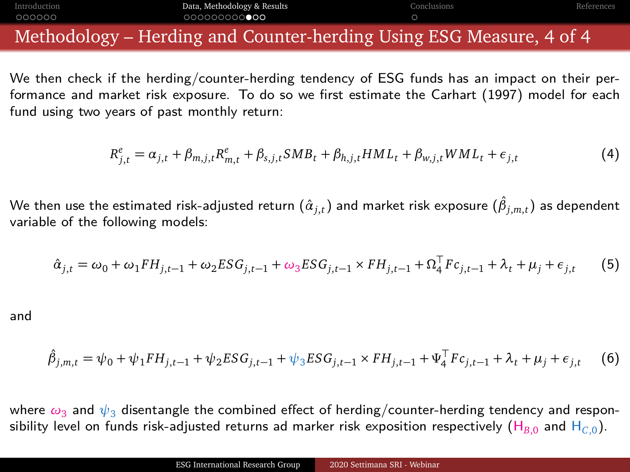

### Methodology – Herding and Counter-herding Using ESG Measure, 4 of 4

We then check if the herding/counter-herding tendency of ESG funds has an impact on their performance and market risk exposure. To do so we first estimate the [Carhart \(1997\)](#page-21-11) model for each fund using two years of past monthly return:

$$
R_{j,t}^{e} = \alpha_{j,t} + \beta_{m,j,t} R_{m,t}^{e} + \beta_{s,j,t} SMB_{t} + \beta_{h,j,t} HML_{t} + \beta_{w,j,t} WML_{t} + \epsilon_{j,t}
$$
(4)

We then use the estimated risk-adjusted return  $(\hat{a}_{j,t})$  and market risk exposure  $(\hat{\beta}_{j,m,t})$  as dependent variable of the following models:

$$
\hat{\alpha}_{j,t} = \omega_0 + \omega_1 FH_{j,t-1} + \omega_2 ESG_{j,t-1} + \omega_3 ESG_{j,t-1} \times FH_{j,t-1} + \Omega_4^T Fc_{j,t-1} + \lambda_t + \mu_j + \epsilon_{j,t}
$$
 (5)

and

$$
\hat{\beta}_{j,m,t} = \psi_0 + \psi_1 FH_{j,t-1} + \psi_2 ESG_{j,t-1} + \psi_3 ESG_{j,t-1} \times FH_{j,t-1} + \Psi_4^\top Fc_{j,t-1} + \lambda_t + \mu_j + \epsilon_{j,t} \tag{6}
$$

where  $\omega_3$  and  $\psi_3$  disentangle the combined effect of herding/counter-herding tendency and responsibility level on funds risk-adjusted returns ad marker risk exposition respectively  $(H_{B,0}$  and  $H_{C,0})$ .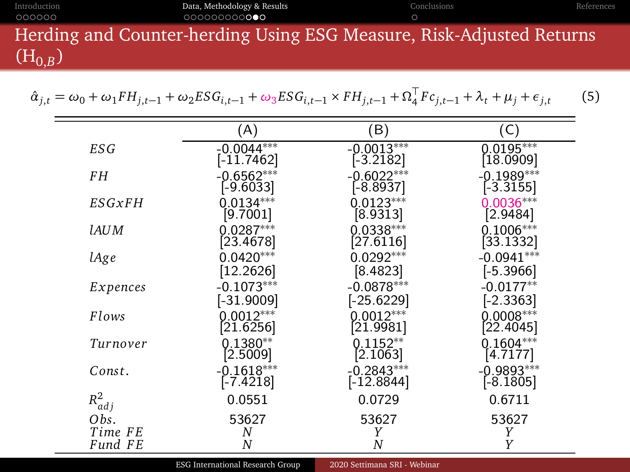| Introduction | Data, Methodology & Results                                          | Conclusions | References |
|--------------|----------------------------------------------------------------------|-------------|------------|
| 000000       | 000000000000                                                         |             |            |
| $(H_{0, R})$ | Herding and Counter-herding Using ESG Measure, Risk-Adjusted Returns |             |            |

$$
\hat{\alpha}_{j,t} = \omega_0 + \omega_1 FH_{j,t-1} + \omega_2 ESG_{i,t-1} + \omega_3 ESG_{i,t-1} \times FH_{j,t-1} + \Omega_4^T F c_{j,t-1} + \lambda_t + \mu_j + \epsilon_{j,t}
$$
(5)

|             | (A)                    | B)                      | (C)                    |
|-------------|------------------------|-------------------------|------------------------|
| ESG         | $-0.0044***$           | $-0.0013***$            | $0.0195***$            |
|             | -11.7462               | $-3.2182]$              | $\left[18.0909\right]$ |
| FH          | $-0.6562***$           | $-0.6022***$            | $-0.1989***$           |
|             | $-9.6033$              | -8.8937                 | $-3.3155$              |
| ESGxFH      | $0.0134***$            | $0.0123^{\ast\ast\ast}$ | $0.0036***$            |
|             | [9.7001]               | [8.9313]                | [2.9484]               |
| <i>lAUM</i> | $0.0287***$            | $0.0338^{\ast\ast\ast}$ | $0.1006***$            |
|             | [23.4678]              | 27.6116                 | [33.1332]              |
| lAge        | $0.0420***$            | $0.0292***$             | $-0.0941***$           |
|             | [12.2626]              | [8.4823]                | [-5.3966]              |
| Expences    | $-0.1073***$           | $-0.0878***$            | $-0.0177**$            |
|             | [-31.9009]             | [-25.6229]              | $-2.3363]$             |
| Flows       | $0.0012***$            | $0.0012***$             | $0.0008^{***}$         |
|             | [21.6256]              | $\left[21.9981\right]$  | [22.4045]              |
| Turnover    | $0.1380**$             | $0.1152**$              | $0.1604^{***}$         |
|             | $\left[ 2.5009\right]$ | 2.1063                  | $\left[4.7177\right]$  |
| Const.      | $-0.1618***$           | $-0.2843***$            | $-0.9893***$           |
|             | [-7.4218]              | [-12.8844]              | [-8.1805]              |
| $R^2_{adj}$ | 0.0551                 | 0.0729                  | 0.6711                 |
| Obs.        | 53627                  | 53627                   | 53627                  |
| Time FE     | N                      | Υ                       | Υ                      |
| Fund FE     | N                      | N                       | Υ                      |
|             |                        |                         |                        |

ESG International Research Group [2020 Settimana SRI - Webinar](#page-0-0)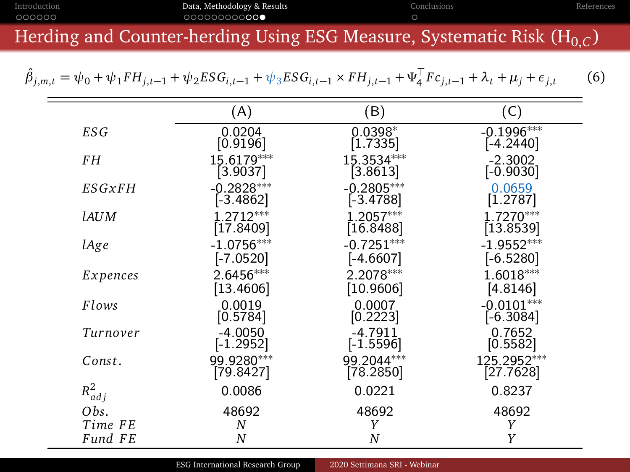|              | The discussed Counter Louding Heine RCC Measure, Contampatio Diale (II) |                    |            |
|--------------|-------------------------------------------------------------------------|--------------------|------------|
| 000000       | 000000000000                                                            |                    |            |
| Introduction | Data, Methodology & Results                                             | <b>Conclusions</b> | References |

# Herding and Counter-herding Using ESG Measure, Systematic Risk  $(\mathrm{H}_{0,C})$

 $\hat{\beta}_{j,m,t} = \psi_0 + \psi_1 FH_{j,t-1} + \psi_2 ESG_{i,t-1} + \psi_3 ESG_{i,t-1} \times FH_{j,t-1} + \Psi_4^T F c_{j,t-1} + \lambda_t + \mu_j + \epsilon_{j,t}$ (6)

|                    | (A)                    | (B)                    | (C)          |
|--------------------|------------------------|------------------------|--------------|
| ES G               | 0.0204                 | $0.0398*$              | $-0.1996***$ |
|                    | [0.9196]               | $\left[1.7335\right]$  | [-4.2440]    |
| FH                 | 15.6179***             | 15.3534***             | $-2.3002$    |
|                    | $\left[ 3.9037\right]$ | $\left[ 3.8613\right]$ | [-0.9030]    |
| ESGxFH             | $-0.2828***$           | $-0.2805***$           | 0.0659       |
|                    | $-3.4862$              | -3.4788]               | 1.2787       |
| <i><b>LAUM</b></i> | $1.2712^{***}$         | $1.2057***$            | $1.7270***$  |
|                    | [17.8409]              | [16.8488]              | [13.8539]    |
| lAge               | $-1.0756***$           | $-0.7251***$           | $-1.9552***$ |
|                    | [-7.0520]              | [-4.6607]              | [-6.5280]    |
| Expences           | $2.6456***$            | 2.2078 ***             | 1.6018***    |
|                    | [13.4606]              | [10.9606]              | [4.8146]     |
| Flows              | 0.0019                 | 0.0007                 | $-0.0101***$ |
|                    | [0.5784]               | [0.2223]               | [-6.3084]    |
| Turnover           | $-4.0050$              | -4.7911                | 0.7652       |
|                    | $[-1.2952]$            | -1.5596]               | [0.5582]     |
| Const.             | 99.9280***             | 99.2044***             | 125.2952***  |
|                    | [79.8427]              | [78.2850]              | [27.7628]    |
| $R^2_{adj}$        | 0.0086                 | 0.0221                 | 0.8237       |
| Obs.               | 48692                  | 48692                  | 48692        |
| Time FE            | Ν                      | Υ                      | Υ            |
| Fund FE            | N                      | N                      | Υ            |

ESG International Research Group [2020 Settimana SRI - Webinar](#page-0-0)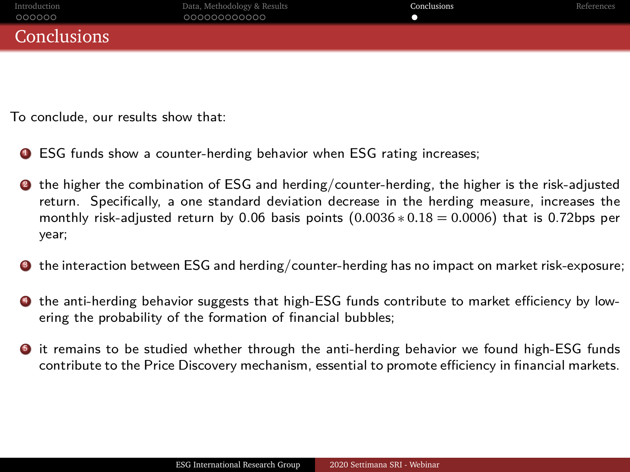<span id="page-20-0"></span>

| Introduction       | Data, Methodology & Results | Conclusions | References |
|--------------------|-----------------------------|-------------|------------|
| 000000             | 000000000000                |             |            |
| <b>Conclusions</b> |                             |             |            |
|                    |                             |             |            |

To conclude, our results show that:

- **1** ESG funds show a counter-herding behavior when ESG rating increases:
- <sup>2</sup> the higher the combination of ESG and herding/counter-herding, the higher is the risk-adjusted return. Specifically, a one standard deviation decrease in the herding measure, increases the monthly risk-adjusted return by 0.06 basis points  $(0.0036 * 0.18 = 0.0006)$  that is 0.72bps per year;
- **3** the interaction between ESG and herding/counter-herding has no impact on market risk-exposure;
- <sup>4</sup> the anti-herding behavior suggests that high-ESG funds contribute to market efficiency by lowering the probability of the formation of financial bubbles;
- **•** it remains to be studied whether through the anti-herding behavior we found high-ESG funds contribute to the Price Discovery mechanism, essential to promote efficiency in financial markets.